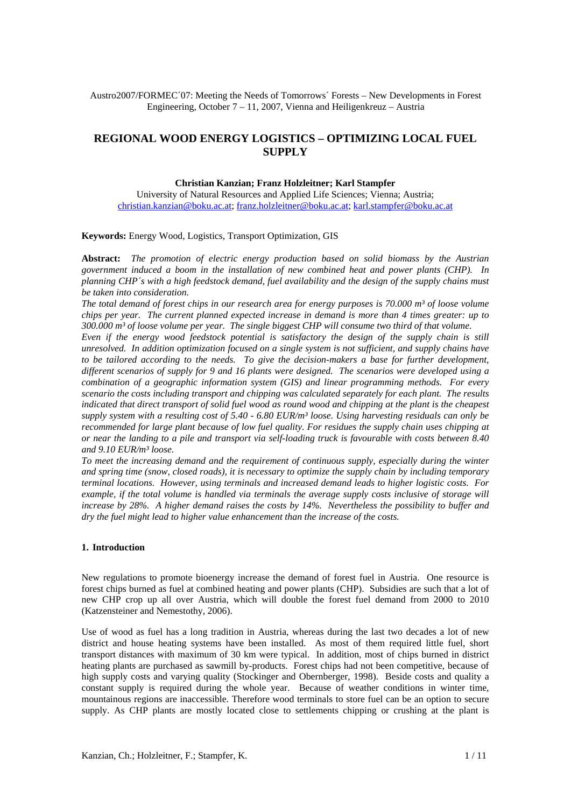Austro2007/FORMEC´07: Meeting the Needs of Tomorrows´ Forests – New Developments in Forest Engineering, October 7 – 11, 2007, Vienna and Heiligenkreuz – Austria

# **REGIONAL WOOD ENERGY LOGISTICS – OPTIMIZING LOCAL FUEL SUPPLY**

# **Christian Kanzian; Franz Holzleitner; Karl Stampfer**

University of Natural Resources and Applied Life Sciences; Vienna; Austria; christian.kanzian@boku.ac.at; franz.holzleitner@boku.ac.at; karl.stampfer@boku.ac.at

### **Keywords:** Energy Wood, Logistics, Transport Optimization, GIS

**Abstract:** *The promotion of electric energy production based on solid biomass by the Austrian government induced a boom in the installation of new combined heat and power plants (CHP). In planning CHP´s with a high feedstock demand, fuel availability and the design of the supply chains must be taken into consideration.* 

*The total demand of forest chips in our research area for energy purposes is 70.000 m³ of loose volume chips per year. The current planned expected increase in demand is more than 4 times greater: up to 300.000 m³ of loose volume per year. The single biggest CHP will consume two third of that volume.* 

*Even if the energy wood feedstock potential is satisfactory the design of the supply chain is still unresolved. In addition optimization focused on a single system is not sufficient, and supply chains have to be tailored according to the needs. To give the decision-makers a base for further development, different scenarios of supply for 9 and 16 plants were designed. The scenarios were developed using a combination of a geographic information system (GIS) and linear programming methods. For every scenario the costs including transport and chipping was calculated separately for each plant. The results indicated that direct transport of solid fuel wood as round wood and chipping at the plant is the cheapest supply system with a resulting cost of 5.40 - 6.80 EUR/m³ loose. Using harvesting residuals can only be recommended for large plant because of low fuel quality. For residues the supply chain uses chipping at or near the landing to a pile and transport via self-loading truck is favourable with costs between 8.40 and 9.10 EUR/m³ loose.* 

*To meet the increasing demand and the requirement of continuous supply, especially during the winter and spring time (snow, closed roads), it is necessary to optimize the supply chain by including temporary terminal locations. However, using terminals and increased demand leads to higher logistic costs. For example, if the total volume is handled via terminals the average supply costs inclusive of storage will increase by 28%. A higher demand raises the costs by 14%. Nevertheless the possibility to buffer and dry the fuel might lead to higher value enhancement than the increase of the costs.* 

### **1. Introduction**

New regulations to promote bioenergy increase the demand of forest fuel in Austria. One resource is forest chips burned as fuel at combined heating and power plants (CHP). Subsidies are such that a lot of new CHP crop up all over Austria, which will double the forest fuel demand from 2000 to 2010 (Katzensteiner and Nemestothy, 2006).

Use of wood as fuel has a long tradition in Austria, whereas during the last two decades a lot of new district and house heating systems have been installed. As most of them required little fuel, short transport distances with maximum of 30 km were typical. In addition, most of chips burned in district heating plants are purchased as sawmill by-products. Forest chips had not been competitive, because of high supply costs and varying quality (Stockinger and Obernberger, 1998). Beside costs and quality a constant supply is required during the whole year. Because of weather conditions in winter time, mountainous regions are inaccessible. Therefore wood terminals to store fuel can be an option to secure supply. As CHP plants are mostly located close to settlements chipping or crushing at the plant is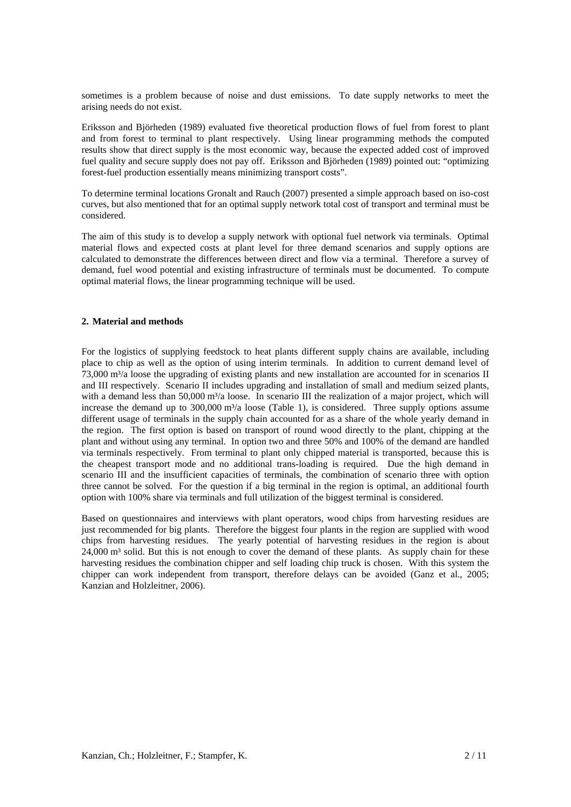sometimes is a problem because of noise and dust emissions. To date supply networks to meet the arising needs do not exist.

Eriksson and Björheden (1989) evaluated five theoretical production flows of fuel from forest to plant and from forest to terminal to plant respectively. Using linear programming methods the computed results show that direct supply is the most economic way, because the expected added cost of improved fuel quality and secure supply does not pay off. Eriksson and Björheden (1989) pointed out: "optimizing forest-fuel production essentially means minimizing transport costs".

To determine terminal locations Gronalt and Rauch (2007) presented a simple approach based on iso-cost curves, but also mentioned that for an optimal supply network total cost of transport and terminal must be considered.

The aim of this study is to develop a supply network with optional fuel network via terminals. Optimal material flows and expected costs at plant level for three demand scenarios and supply options are calculated to demonstrate the differences between direct and flow via a terminal. Therefore a survey of demand, fuel wood potential and existing infrastructure of terminals must be documented. To compute optimal material flows, the linear programming technique will be used.

#### **2. Material and methods**

For the logistics of supplying feedstock to heat plants different supply chains are available, including place to chip as well as the option of using interim terminals. In addition to current demand level of  $73,000$  m<sup>3</sup>/a loose the upgrading of existing plants and new installation are accounted for in scenarios II and III respectively. Scenario II includes upgrading and installation of small and medium seized plants, with a demand less than 50,000 m<sup>3</sup>/a loose. In scenario III the realization of a major project, which will increase the demand up to  $300,000$  m<sup>3</sup>/a loose (Table 1), is considered. Three supply options assume different usage of terminals in the supply chain accounted for as a share of the whole yearly demand in the region. The first option is based on transport of round wood directly to the plant, chipping at the plant and without using any terminal. In option two and three 50% and 100% of the demand are handled via terminals respectively. From terminal to plant only chipped material is transported, because this is the cheapest transport mode and no additional trans-loading is required. Due the high demand in scenario III and the insufficient capacities of terminals, the combination of scenario three with option three cannot be solved. For the question if a big terminal in the region is optimal, an additional fourth option with 100% share via terminals and full utilization of the biggest terminal is considered.

Based on questionnaires and interviews with plant operators, wood chips from harvesting residues are just recommended for big plants. Therefore the biggest four plants in the region are supplied with wood chips from harvesting residues. The yearly potential of harvesting residues in the region is about 24,000 m<sup>3</sup> solid. But this is not enough to cover the demand of these plants. As supply chain for these harvesting residues the combination chipper and self loading chip truck is chosen. With this system the chipper can work independent from transport, therefore delays can be avoided (Ganz et al., 2005; Kanzian and Holzleitner, 2006).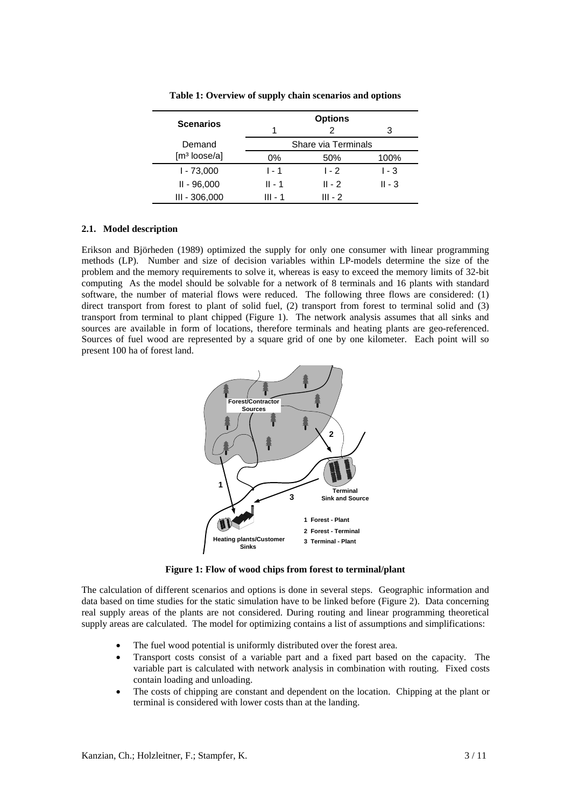| <b>Scenarios</b>         |         | <b>Options</b>      |          |
|--------------------------|---------|---------------------|----------|
|                          | 1       | 2                   | 3        |
| Demand                   |         | Share via Terminals |          |
| [m <sup>3</sup> loose/a] | 0%      | 50%                 | 100%     |
| $1 - 73,000$             | $1 - 1$ | $1 - 2$             | $1 - 3$  |
| $II - 96,000$            | II - 1  | $II - 2$            | $II - 3$ |
| $III - 306,000$          | III - 1 | $III - 2$           |          |

**Table 1: Overview of supply chain scenarios and options** 

#### **2.1. Model description**

Erikson and Björheden (1989) optimized the supply for only one consumer with linear programming methods (LP). Number and size of decision variables within LP-models determine the size of the problem and the memory requirements to solve it, whereas is easy to exceed the memory limits of 32-bit computing As the model should be solvable for a network of 8 terminals and 16 plants with standard software, the number of material flows were reduced. The following three flows are considered: (1) direct transport from forest to plant of solid fuel, (2) transport from forest to terminal solid and (3) transport from terminal to plant chipped (Figure 1). The network analysis assumes that all sinks and sources are available in form of locations, therefore terminals and heating plants are geo-referenced. Sources of fuel wood are represented by a square grid of one by one kilometer. Each point will so present 100 ha of forest land.



**Figure 1: Flow of wood chips from forest to terminal/plant** 

The calculation of different scenarios and options is done in several steps. Geographic information and data based on time studies for the static simulation have to be linked before (Figure 2). Data concerning real supply areas of the plants are not considered. During routing and linear programming theoretical supply areas are calculated. The model for optimizing contains a list of assumptions and simplifications:

- The fuel wood potential is uniformly distributed over the forest area.
- Transport costs consist of a variable part and a fixed part based on the capacity. The variable part is calculated with network analysis in combination with routing. Fixed costs contain loading and unloading.
- The costs of chipping are constant and dependent on the location. Chipping at the plant or terminal is considered with lower costs than at the landing.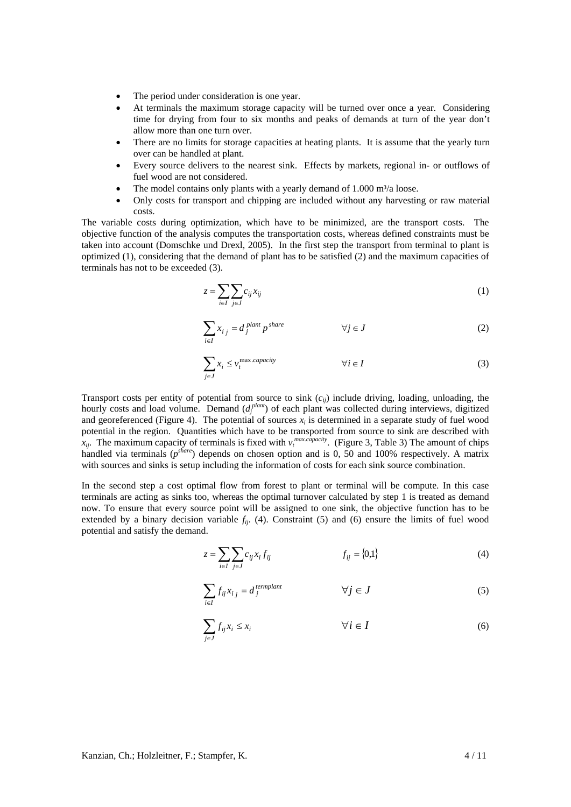- The period under consideration is one year.
- At terminals the maximum storage capacity will be turned over once a year. Considering time for drying from four to six months and peaks of demands at turn of the year don't allow more than one turn over.
- There are no limits for storage capacities at heating plants. It is assume that the yearly turn over can be handled at plant.
- Every source delivers to the nearest sink. Effects by markets, regional in- or outflows of fuel wood are not considered.
- The model contains only plants with a yearly demand of  $1.000 \text{ m}^3/\text{a}$  loose.
- Only costs for transport and chipping are included without any harvesting or raw material costs.

The variable costs during optimization, which have to be minimized, are the transport costs. The objective function of the analysis computes the transportation costs, whereas defined constraints must be taken into account (Domschke und Drexl, 2005). In the first step the transport from terminal to plant is optimized (1), considering that the demand of plant has to be satisfied (2) and the maximum capacities of terminals has not to be exceeded (3).

$$
z = \sum_{i \in I} \sum_{j \in J} c_{ij} x_{ij} \tag{1}
$$

$$
\sum_{i \in I} x_{i j} = d_j^{plant} p^{share} \qquad \forall j \in J
$$
 (2)

$$
\sum_{j \in J} x_i \le \nu_i^{\max.capacity} \qquad \qquad \forall i \in I \tag{3}
$$

Transport costs per entity of potential from source to sink  $(c_{ii})$  include driving, loading, unloading, the hourly costs and load volume. Demand ( $d_f^{plant}$ ) of each plant was collected during interviews, digitized and georeferenced (Figure 4). The potential of sources  $x_i$  is determined in a separate study of fuel wood potential in the region. Quantities which have to be transported from source to sink are described with  $\bar{x}_{ij}$ . The maximum capacity of terminals is fixed with  $v_t^{max.capacity}$ . (Figure 3, Table 3) The amount of chips handled via terminals (*pshare*) depends on chosen option and is 0, 50 and 100% respectively. A matrix with sources and sinks is setup including the information of costs for each sink source combination.

In the second step a cost optimal flow from forest to plant or terminal will be compute. In this case terminals are acting as sinks too, whereas the optimal turnover calculated by step 1 is treated as demand now. To ensure that every source point will be assigned to one sink, the objective function has to be extended by a binary decision variable  $f_{ij}$ . (4). Constraint (5) and (6) ensure the limits of fuel wood potential and satisfy the demand.

$$
z = \sum_{i \in I} \sum_{j \in J} c_{ij} x_i f_{ij} \qquad f_{ij} = \{0,1\}
$$
 (4)

$$
\sum_{i \in I} f_{ij} x_{i j} = d_j^{quad} \qquad \qquad \forall j \in J \tag{5}
$$

$$
\sum_{j \in J} f_{ij} x_i \le x_i \qquad \qquad \forall i \in I \tag{6}
$$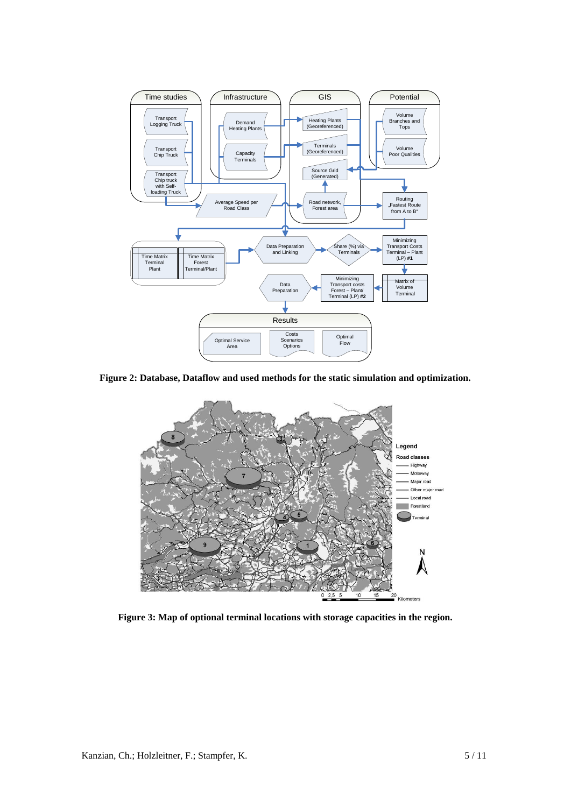

**Figure 2: Database, Dataflow and used methods for the static simulation and optimization.** 



**Figure 3: Map of optional terminal locations with storage capacities in the region.**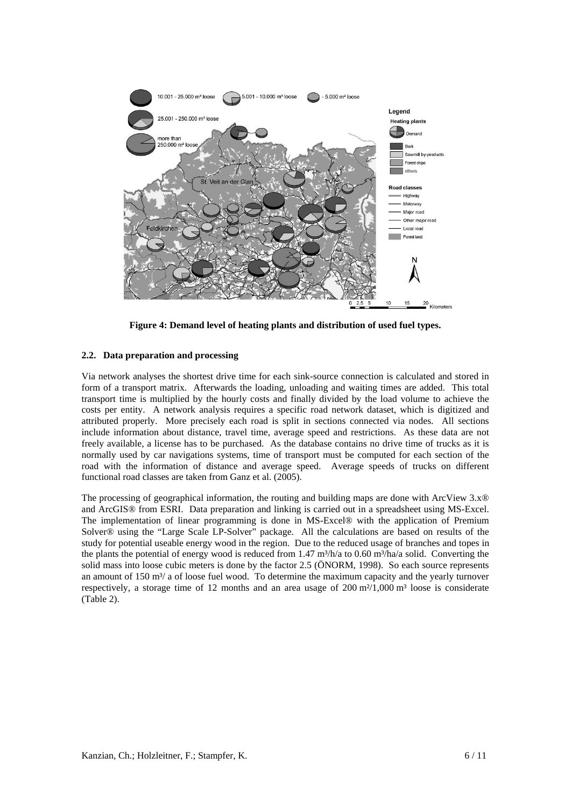

**Figure 4: Demand level of heating plants and distribution of used fuel types.** 

## **2.2. Data preparation and processing**

Via network analyses the shortest drive time for each sink-source connection is calculated and stored in form of a transport matrix. Afterwards the loading, unloading and waiting times are added. This total transport time is multiplied by the hourly costs and finally divided by the load volume to achieve the costs per entity. A network analysis requires a specific road network dataset, which is digitized and attributed properly. More precisely each road is split in sections connected via nodes. All sections include information about distance, travel time, average speed and restrictions. As these data are not freely available, a license has to be purchased. As the database contains no drive time of trucks as it is normally used by car navigations systems, time of transport must be computed for each section of the road with the information of distance and average speed. Average speeds of trucks on different functional road classes are taken from Ganz et al. (2005).

The processing of geographical information, the routing and building maps are done with ArcView 3.x® and ArcGIS® from ESRI. Data preparation and linking is carried out in a spreadsheet using MS-Excel. The implementation of linear programming is done in MS-Excel® with the application of Premium Solver<sup>®</sup> using the "Large Scale LP-Solver" package. All the calculations are based on results of the study for potential useable energy wood in the region. Due to the reduced usage of branches and topes in the plants the potential of energy wood is reduced from 1.47 m<sup>3</sup>/h/a to 0.60 m<sup>3</sup>/ha/a solid. Converting the solid mass into loose cubic meters is done by the factor 2.5 (ÖNORM, 1998). So each source represents an amount of 150 m<sup>3</sup>/ a of loose fuel wood. To determine the maximum capacity and the yearly turnover respectively, a storage time of 12 months and an area usage of  $200 \text{ m}^2/1,000 \text{ m}^3$  loose is considerate (Table 2).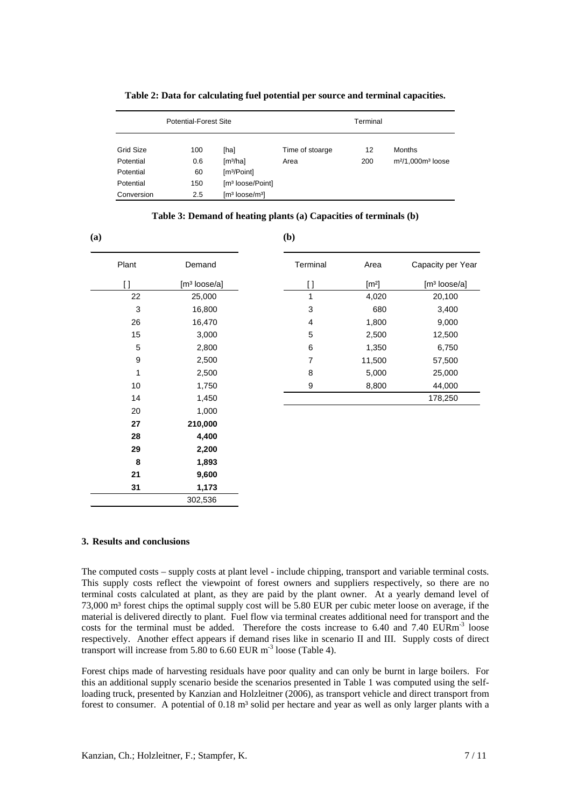|            | Potential-Forest Site |                                                   |                 | Terminal |                    |
|------------|-----------------------|---------------------------------------------------|-----------------|----------|--------------------|
| Grid Size  | 100                   | [ha]                                              | Time of stoarge | 12       | <b>Months</b>      |
| Potential  | 0.6                   | [m <sup>3</sup> /ha]                              | Area            | 200      | $m2/1,000m3$ loose |
| Potential  | 60                    | [m <sup>3</sup> /Point]                           |                 |          |                    |
| Potential  | 150                   | [m <sup>3</sup> loose/Point]                      |                 |          |                    |
| Conversion | 2.5                   | $\lceil m^3 \rceil$ loose/m <sup>3</sup> $\lceil$ |                 |          |                    |

#### **Table 2: Data for calculating fuel potential per source and terminal capacities.**

# **Table 3: Demand of heating plants (a) Capacities of terminals (b)**

**(b)** 

**(a)** 

| Plant | Demand                   |
|-------|--------------------------|
| []    | [m <sup>3</sup> loose/a] |
| 22    | 25,000                   |
| 3     | 16,800                   |
| 26    | 16,470                   |
| 15    | 3,000                    |
| 5     | 2,800                    |
| 9     | 2,500                    |
| 1     | 2,500                    |
| 10    | 1,750                    |
| 14    | 1,450                    |
| 20    | 1,000                    |
| 27    | 210,000                  |
| 28    | 4,400                    |
| 29    | 2,200                    |
| 8     | 1,893                    |
| 21    | 9,600                    |
| 31    | 1,173                    |
|       | 302,536                  |

| Terminal | Area                | Capacity per Year            |
|----------|---------------------|------------------------------|
| []       | $\lceil m^2 \rceil$ | $\lceil m^3 \rceil$ loose/al |
| 1        | 4,020               | 20,100                       |
| 3        | 680                 | 3,400                        |
| 4        | 1,800               | 9,000                        |
| 5        | 2,500               | 12,500                       |
| 6        | 1,350               | 6,750                        |
| 7        | 11,500              | 57,500                       |
| 8        | 5,000               | 25,000                       |
| 9        | 8,800               | 44,000                       |
|          |                     | 178,250                      |
|          |                     |                              |

### **3. Results and conclusions**

The computed costs – supply costs at plant level - include chipping, transport and variable terminal costs. This supply costs reflect the viewpoint of forest owners and suppliers respectively, so there are no terminal costs calculated at plant, as they are paid by the plant owner. At a yearly demand level of 73,000 m³ forest chips the optimal supply cost will be 5.80 EUR per cubic meter loose on average, if the material is delivered directly to plant. Fuel flow via terminal creates additional need for transport and the costs for the terminal must be added. Therefore the costs increase to 6.40 and 7.40 EURm<sup>-3</sup> loose respectively. Another effect appears if demand rises like in scenario II and III. Supply costs of direct transport will increase from  $5.80$  to  $6.60$  EUR m<sup>-3</sup> loose (Table 4).

Forest chips made of harvesting residuals have poor quality and can only be burnt in large boilers. For this an additional supply scenario beside the scenarios presented in Table 1 was computed using the selfloading truck, presented by Kanzian and Holzleitner (2006), as transport vehicle and direct transport from forest to consumer. A potential of 0.18 m<sup>3</sup> solid per hectare and year as well as only larger plants with a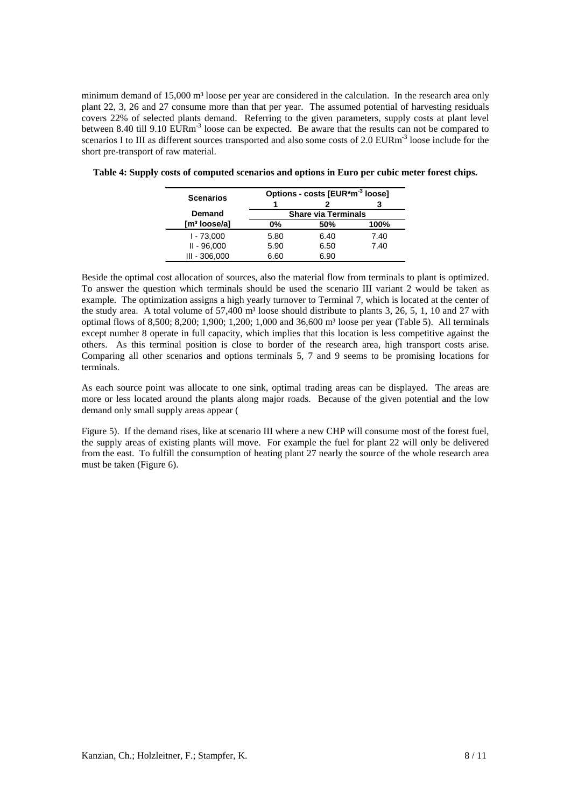minimum demand of 15,000 m<sup>3</sup> loose per year are considered in the calculation. In the research area only plant 22, 3, 26 and 27 consume more than that per year. The assumed potential of harvesting residuals covers 22% of selected plants demand. Referring to the given parameters, supply costs at plant level between 8.40 till 9.10 EURm<sup>-3</sup> loose can be expected. Be aware that the results can not be compared to scenarios I to III as different sources transported and also some costs of 2.0 EURm<sup>-3</sup> loose include for the short pre-transport of raw material.

| <b>Scenarios</b>         |      | Options - costs [EUR*m <sup>-3</sup> loose] |      |
|--------------------------|------|---------------------------------------------|------|
|                          |      |                                             |      |
| <b>Demand</b>            |      | <b>Share via Terminals</b>                  |      |
| $\mathsf{Im}^3$ loose/al | 0%   | 50%                                         | 100% |
| $1 - 73,000$             | 5.80 | 6.40                                        | 7.40 |
| $II - 96,000$            | 5.90 | 6.50                                        | 7.40 |
| $III - 306,000$          | 6.60 | 6.90                                        |      |

**Table 4: Supply costs of computed scenarios and options in Euro per cubic meter forest chips.** 

Beside the optimal cost allocation of sources, also the material flow from terminals to plant is optimized. To answer the question which terminals should be used the scenario III variant 2 would be taken as example. The optimization assigns a high yearly turnover to Terminal 7, which is located at the center of the study area. A total volume of  $57,400$  m<sup>3</sup> loose should distribute to plants 3, 26, 5, 1, 10 and 27 with optimal flows of 8,500; 8,200; 1,900; 1,200; 1,000 and 36,600 m³ loose per year (Table 5). All terminals except number 8 operate in full capacity, which implies that this location is less competitive against the others. As this terminal position is close to border of the research area, high transport costs arise. Comparing all other scenarios and options terminals 5, 7 and 9 seems to be promising locations for terminals.

As each source point was allocate to one sink, optimal trading areas can be displayed. The areas are more or less located around the plants along major roads. Because of the given potential and the low demand only small supply areas appear (

Figure 5). If the demand rises, like at scenario III where a new CHP will consume most of the forest fuel, the supply areas of existing plants will move. For example the fuel for plant 22 will only be delivered from the east. To fulfill the consumption of heating plant 27 nearly the source of the whole research area must be taken (Figure 6).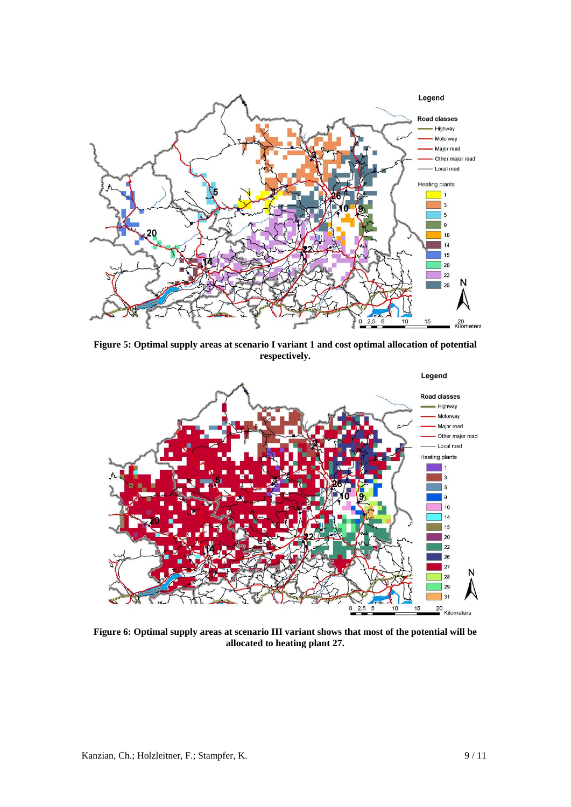

**Figure 5: Optimal supply areas at scenario I variant 1 and cost optimal allocation of potential respectively.** 



**Figure 6: Optimal supply areas at scenario III variant shows that most of the potential will be allocated to heating plant 27.**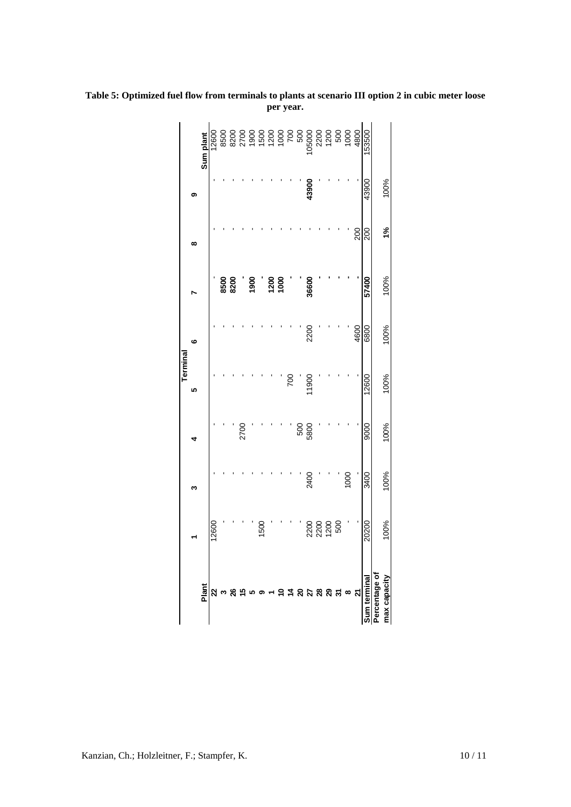|               |                                |      |      | Terminal      |      |                                                 |               |       |           |
|---------------|--------------------------------|------|------|---------------|------|-------------------------------------------------|---------------|-------|-----------|
|               |                                |      |      | Ю             | ဖ    |                                                 | ထ             | თ     |           |
| Plant         |                                |      |      |               |      |                                                 |               |       | Sum plant |
|               | 12600                          |      |      |               |      |                                                 |               |       | 12600     |
|               |                                |      |      |               |      | 8500<br>8200                                    |               |       |           |
|               |                                |      |      |               |      |                                                 |               |       |           |
|               |                                |      | 2700 |               |      |                                                 |               |       |           |
|               |                                |      |      |               |      | 1900                                            |               |       |           |
|               | 1500                           |      |      |               |      |                                                 |               |       |           |
|               |                                |      |      |               |      |                                                 |               |       |           |
| ≘             |                                |      |      |               |      | $\begin{array}{c}\n 0.00 \\ 0.00\n \end{array}$ |               |       |           |
|               |                                |      |      | $\frac{8}{2}$ |      |                                                 |               |       |           |
|               |                                |      | 500  |               |      |                                                 |               |       |           |
|               |                                | 2400 | 5800 | 11900         | 2200 | 36600                                           |               | 43900 |           |
|               |                                |      |      |               |      |                                                 |               |       |           |
|               | ខ្លួ ខ្លួ ខ្លួ<br>ស្តូ ស្គូ និ |      |      |               |      |                                                 |               |       |           |
|               |                                |      |      |               |      |                                                 |               |       |           |
| $\infty$      |                                | 1000 |      |               |      |                                                 |               |       |           |
|               |                                |      |      |               | 4600 |                                                 | 200           |       |           |
| Sum terminal  | 20200                          | 3400 | 9000 | 12600         | 6800 | 57400                                           | 200           | 43900 | 153500    |
| Percentage of |                                |      |      |               |      |                                                 |               |       |           |
| max capacity  | 100%                           | 100% | 100% | 100%          | 100% | 100%                                            | $\frac{5}{6}$ | 100%  |           |
|               |                                |      |      |               |      |                                                 |               |       |           |

**Table 5: Optimized fuel flow from terminals to plants at scenario III option 2 in cubic meter loose per year.**